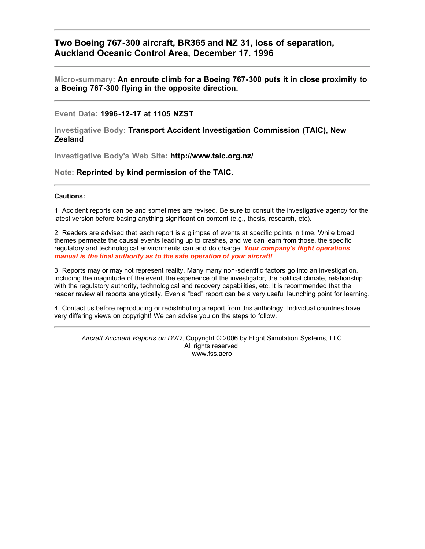### **Two Boeing 767-300 aircraft, BR365 and NZ 31, loss of separation, Auckland Oceanic Control Area, December 17, 1996**

**Micro-summary: An enroute climb for a Boeing 767-300 puts it in close proximity to a Boeing 767-300 flying in the opposite direction.**

### **Event Date: 1996-12-17 at 1105 NZST**

**Investigative Body: Transport Accident Investigation Commission (TAIC), New Zealand**

**Investigative Body's Web Site: http://www.taic.org.nz/**

### **Note: Reprinted by kind permission of the TAIC.**

#### **Cautions:**

1. Accident reports can be and sometimes are revised. Be sure to consult the investigative agency for the latest version before basing anything significant on content (e.g., thesis, research, etc).

2. Readers are advised that each report is a glimpse of events at specific points in time. While broad themes permeate the causal events leading up to crashes, and we can learn from those, the specific regulatory and technological environments can and do change. *Your company's flight operations manual is the final authority as to the safe operation of your aircraft!*

3. Reports may or may not represent reality. Many many non-scientific factors go into an investigation, including the magnitude of the event, the experience of the investigator, the political climate, relationship with the regulatory authority, technological and recovery capabilities, etc. It is recommended that the reader review all reports analytically. Even a "bad" report can be a very useful launching point for learning.

4. Contact us before reproducing or redistributing a report from this anthology. Individual countries have very differing views on copyright! We can advise you on the steps to follow.

*Aircraft Accident Reports on DVD*, Copyright © 2006 by Flight Simulation Systems, LLC All rights reserved. www.fss.aero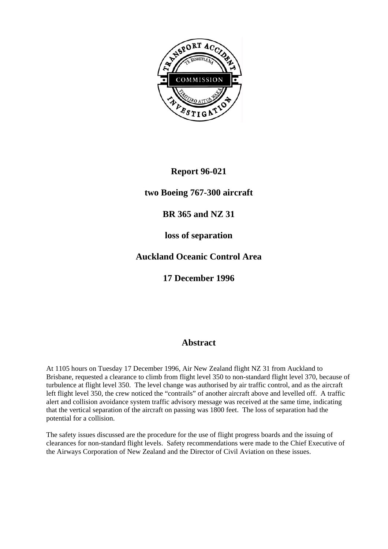

# **Report 96-021**

## **two Boeing 767-300 aircraft**

## **BR 365 and NZ 31**

## **loss of separation**

# **Auckland Oceanic Control Area**

## **17 December 1996**

## **Abstract**

At 1105 hours on Tuesday 17 December 1996, Air New Zealand flight NZ 31 from Auckland to Brisbane, requested a clearance to climb from flight level 350 to non-standard flight level 370, because of turbulence at flight level 350. The level change was authorised by air traffic control, and as the aircraft left flight level 350, the crew noticed the "contrails" of another aircraft above and levelled off. A traffic alert and collision avoidance system traffic advisory message was received at the same time, indicating that the vertical separation of the aircraft on passing was 1800 feet. The loss of separation had the potential for a collision.

The safety issues discussed are the procedure for the use of flight progress boards and the issuing of clearances for non-standard flight levels. Safety recommendations were made to the Chief Executive of the Airways Corporation of New Zealand and the Director of Civil Aviation on these issues.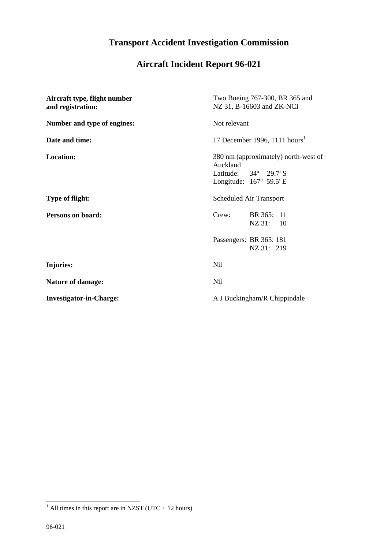# **Transport Accident Investigation Commission**

# **Aircraft Incident Report 96-021**

| Aircraft type, flight number<br>and registration: | Two Boeing 767-300, BR 365 and<br>NZ 31, B-16603 and ZK-NCI                                                          |  |
|---------------------------------------------------|----------------------------------------------------------------------------------------------------------------------|--|
| Number and type of engines:                       | Not relevant                                                                                                         |  |
| Date and time:                                    | 17 December 1996, 1111 hours <sup>1</sup>                                                                            |  |
| Location:                                         | 380 nm (approximately) north-west of<br>Auckland<br>Latitude: $34^{\circ}$ 29.7' S<br>Longitude: $167^\circ$ 59.5' E |  |
| <b>Type of flight:</b>                            | Scheduled Air Transport                                                                                              |  |
| Persons on board:                                 | BR 365: 11<br>Crew:<br>NZ 31: 10                                                                                     |  |
|                                                   | Passengers: BR 365: 181<br>NZ 31: 219                                                                                |  |
| Injuries:                                         | Nil                                                                                                                  |  |
| <b>Nature of damage:</b>                          | Nil                                                                                                                  |  |
| <b>Investigator-in-Charge:</b>                    | A J Buckingham/R Chippindale                                                                                         |  |

<sup>&</sup>lt;sup>1</sup> All times in this report are in NZST (UTC + 12 hours)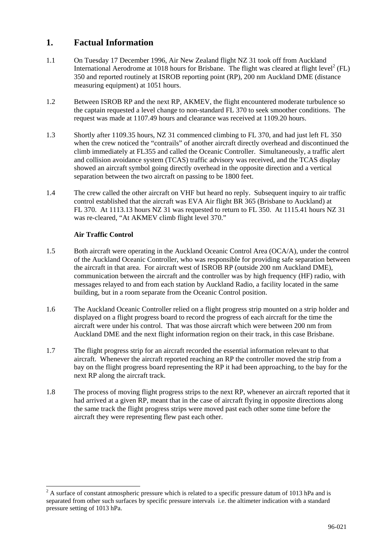## **1. Factual Information**

- 1.1 On Tuesday 17 December 1996, Air New Zealand flight NZ 31 took off from Auckland International Aerodrome at 1018 hours for Brisbane. The flight was cleared at flight level<sup>2</sup> (FL) 350 and reported routinely at ISROB reporting point (RP), 200 nm Auckland DME (distance measuring equipment) at 1051 hours.
- 1.2 Between ISROB RP and the next RP, AKMEV, the flight encountered moderate turbulence so the captain requested a level change to non-standard FL 370 to seek smoother conditions. The request was made at 1107.49 hours and clearance was received at 1109.20 hours.
- 1.3 Shortly after 1109.35 hours, NZ 31 commenced climbing to FL 370, and had just left FL 350 when the crew noticed the "contrails" of another aircraft directly overhead and discontinued the climb immediately at FL355 and called the Oceanic Controller. Simultaneously, a traffic alert and collision avoidance system (TCAS) traffic advisory was received, and the TCAS display showed an aircraft symbol going directly overhead in the opposite direction and a vertical separation between the two aircraft on passing to be 1800 feet.
- 1.4 The crew called the other aircraft on VHF but heard no reply. Subsequent inquiry to air traffic control established that the aircraft was EVA Air flight BR 365 (Brisbane to Auckland) at FL 370. At 1113.13 hours NZ 31 was requested to return to FL 350. At 1115.41 hours NZ 31 was re-cleared, "At AKMEV climb flight level 370."

### **Air Traffic Control**

 $\overline{a}$ 

- 1.5 Both aircraft were operating in the Auckland Oceanic Control Area (OCA/A), under the control of the Auckland Oceanic Controller, who was responsible for providing safe separation between the aircraft in that area. For aircraft west of ISROB RP (outside 200 nm Auckland DME), communication between the aircraft and the controller was by high frequency (HF) radio, with messages relayed to and from each station by Auckland Radio, a facility located in the same building, but in a room separate from the Oceanic Control position.
- 1.6 The Auckland Oceanic Controller relied on a flight progress strip mounted on a strip holder and displayed on a flight progress board to record the progress of each aircraft for the time the aircraft were under his control. That was those aircraft which were between 200 nm from Auckland DME and the next flight information region on their track, in this case Brisbane.
- 1.7 The flight progress strip for an aircraft recorded the essential information relevant to that aircraft. Whenever the aircraft reported reaching an RP the controller moved the strip from a bay on the flight progress board representing the RP it had been approaching, to the bay for the next RP along the aircraft track.
- 1.8 The process of moving flight progress strips to the next RP, whenever an aircraft reported that it had arrived at a given RP, meant that in the case of aircraft flying in opposite directions along the same track the flight progress strips were moved past each other some time before the aircraft they were representing flew past each other.

 $2^2$  A surface of constant atmospheric pressure which is related to a specific pressure datum of 1013 hPa and is separated from other such surfaces by specific pressure intervals i.e. the altimeter indication with a standard pressure setting of 1013 hPa.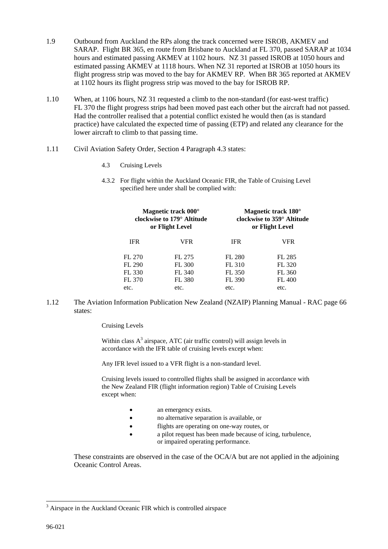- 1.9 Outbound from Auckland the RPs along the track concerned were ISROB, AKMEV and SARAP. Flight BR 365, en route from Brisbane to Auckland at FL 370, passed SARAP at 1034 hours and estimated passing AKMEV at 1102 hours. NZ 31 passed ISROB at 1050 hours and estimated passing AKMEV at 1118 hours. When NZ 31 reported at ISROB at 1050 hours its flight progress strip was moved to the bay for AKMEV RP. When BR 365 reported at AKMEV at 1102 hours its flight progress strip was moved to the bay for ISROB RP.
- 1.10 When, at 1106 hours, NZ 31 requested a climb to the non-standard (for east-west traffic) FL 370 the flight progress strips had been moved past each other but the aircraft had not passed. Had the controller realised that a potential conflict existed he would then (as is standard practice) have calculated the expected time of passing (ETP) and related any clearance for the lower aircraft to climb to that passing time.
- 1.11 Civil Aviation Safety Order, Section 4 Paragraph 4.3 states:
	- 4.3 Cruising Levels
	- 4.3.2 For flight within the Auckland Oceanic FIR, the Table of Cruising Level specified here under shall be complied with:

| Magnetic track 000°                    |               | Magnetic track 180°        |               |
|----------------------------------------|---------------|----------------------------|---------------|
| clockwise to 179 <sup>°</sup> Altitude |               | clockwise to 359° Altitude |               |
| or Flight Level                        |               | or Flight Level            |               |
| <b>IFR</b>                             | VFR           | <b>IFR</b>                 | VFR           |
| FL 270                                 | FL 275        | FL 280                     | FL 285        |
| FL 290                                 | <b>FL 300</b> | FL 310                     | FL 320        |
| FL 330                                 | FL 340        | FL 350                     | FL 360        |
| FL 370                                 | <b>FL 380</b> | FL 390                     | <b>FL 400</b> |
| etc.                                   | etc.          | etc.                       | etc.          |

1.12 The Aviation Information Publication New Zealand (NZAIP) Planning Manual - RAC page 66 states:

Cruising Levels

Within class  $A<sup>3</sup>$  airspace, ATC (air traffic control) will assign levels in accordance with the IFR table of cruising levels except when:

Any IFR level issued to a VFR flight is a non-standard level.

Cruising levels issued to controlled flights shall be assigned in accordance with the New Zealand FIR (flight information region) Table of Cruising Levels except when:

- an emergency exists.
- no alternative separation is available, or<br>
flights are operating on one-way routes.
- flights are operating on one-way routes, or
- a pilot request has been made because of icing, turbulence, or impaired operating performance.

These constraints are observed in the case of the OCA/A but are not applied in the adjoining Oceanic Control Areas.

 $\overline{a}$ 

<sup>&</sup>lt;sup>3</sup> Airspace in the Auckland Oceanic FIR which is controlled airspace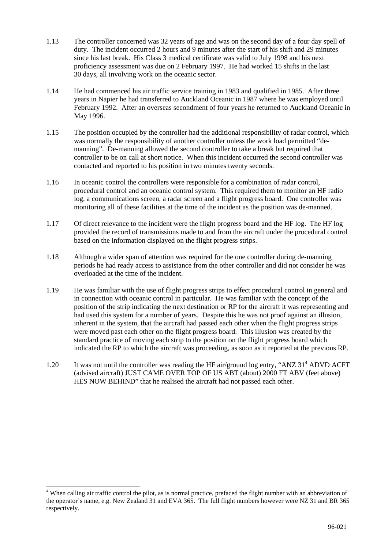- 1.13 The controller concerned was 32 years of age and was on the second day of a four day spell of duty. The incident occurred 2 hours and 9 minutes after the start of his shift and 29 minutes since his last break. His Class 3 medical certificate was valid to July 1998 and his next proficiency assessment was due on 2 February 1997. He had worked 15 shifts in the last 30 days, all involving work on the oceanic sector.
- 1.14 He had commenced his air traffic service training in 1983 and qualified in 1985. After three years in Napier he had transferred to Auckland Oceanic in 1987 where he was employed until February 1992. After an overseas secondment of four years he returned to Auckland Oceanic in May 1996.
- 1.15 The position occupied by the controller had the additional responsibility of radar control, which was normally the responsibility of another controller unless the work load permitted "demanning". De-manning allowed the second controller to take a break but required that controller to be on call at short notice. When this incident occurred the second controller was contacted and reported to his position in two minutes twenty seconds.
- 1.16 In oceanic control the controllers were responsible for a combination of radar control, procedural control and an oceanic control system. This required them to monitor an HF radio log, a communications screen, a radar screen and a flight progress board. One controller was monitoring all of these facilities at the time of the incident as the position was de-manned.
- 1.17 Of direct relevance to the incident were the flight progress board and the HF log. The HF log provided the record of transmissions made to and from the aircraft under the procedural control based on the information displayed on the flight progress strips.
- 1.18 Although a wider span of attention was required for the one controller during de-manning periods he had ready access to assistance from the other controller and did not consider he was overloaded at the time of the incident.
- 1.19 He was familiar with the use of flight progress strips to effect procedural control in general and in connection with oceanic control in particular. He was familiar with the concept of the position of the strip indicating the next destination or RP for the aircraft it was representing and had used this system for a number of years. Despite this he was not proof against an illusion, inherent in the system, that the aircraft had passed each other when the flight progress strips were moved past each other on the flight progress board. This illusion was created by the standard practice of moving each strip to the position on the flight progress board which indicated the RP to which the aircraft was proceeding, as soon as it reported at the previous RP.
- 1.20 It was not until the controller was reading the HF air/ground log entry, "ANZ 31<sup>4</sup> ADVD ACFT (advised aircraft) JUST CAME OVER TOP OF US ABT (about) 2000 FT ABV (feet above) HES NOW BEHIND" that he realised the aircraft had not passed each other.

 $\overline{a}$ 

<sup>&</sup>lt;sup>4</sup> When calling air traffic control the pilot, as is normal practice, prefaced the flight number with an abbreviation of the operator's name, e.g. New Zealand 31 and EVA 365. The full flight numbers however were NZ 31 and BR 365 respectively.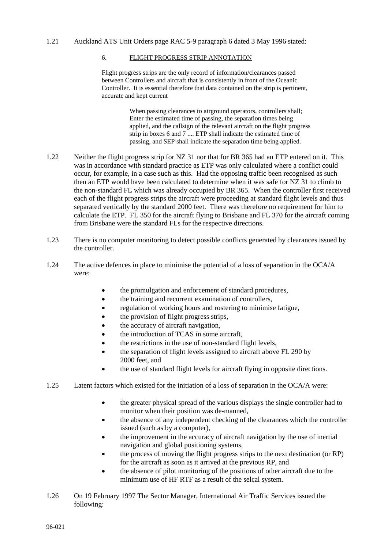### 1.21 Auckland ATS Unit Orders page RAC 5-9 paragraph 6 dated 3 May 1996 stated:

### 6. FLIGHT PROGRESS STRIP ANNOTATION

Flight progress strips are the only record of information/clearances passed between Controllers and aircraft that is consistently in front of the Oceanic Controller. It is essential therefore that data contained on the strip is pertinent, accurate and kept current

> When passing clearances to airground operators, controllers shall; Enter the estimated time of passing, the separation times being applied, and the callsign of the relevant aircraft on the flight progress strip in boxes 6 and 7 .... ETP shall indicate the estimated time of passing, and SEP shall indicate the separation time being applied.

- 1.22 Neither the flight progress strip for NZ 31 nor that for BR 365 had an ETP entered on it. This was in accordance with standard practice as ETP was only calculated where a conflict could occur, for example, in a case such as this. Had the opposing traffic been recognised as such then an ETP would have been calculated to determine when it was safe for NZ 31 to climb to the non-standard FL which was already occupied by BR 365. When the controller first received each of the flight progress strips the aircraft were proceeding at standard flight levels and thus separated vertically by the standard 2000 feet. There was therefore no requirement for him to calculate the ETP. FL 350 for the aircraft flying to Brisbane and FL 370 for the aircraft coming from Brisbane were the standard FLs for the respective directions.
- 1.23 There is no computer monitoring to detect possible conflicts generated by clearances issued by the controller.
- 1.24 The active defences in place to minimise the potential of a loss of separation in the OCA/A were:
	- the promulgation and enforcement of standard procedures,
	- the training and recurrent examination of controllers,
	- regulation of working hours and rostering to minimise fatigue,
	- the provision of flight progress strips,
	- the accuracy of aircraft navigation,
	- the introduction of TCAS in some aircraft,
	- the restrictions in the use of non-standard flight levels,
	- the separation of flight levels assigned to aircraft above FL 290 by 2000 feet, and
	- the use of standard flight levels for aircraft flying in opposite directions.
- 1.25 Latent factors which existed for the initiation of a loss of separation in the OCA/A were:
	- the greater physical spread of the various displays the single controller had to monitor when their position was de-manned,
	- the absence of any independent checking of the clearances which the controller issued (such as by a computer),
	- the improvement in the accuracy of aircraft navigation by the use of inertial navigation and global positioning systems,
	- the process of moving the flight progress strips to the next destination (or RP) for the aircraft as soon as it arrived at the previous RP, and
	- the absence of pilot monitoring of the positions of other aircraft due to the minimum use of HF RTF as a result of the selcal system.
- 1.26 On 19 February 1997 The Sector Manager, International Air Traffic Services issued the following: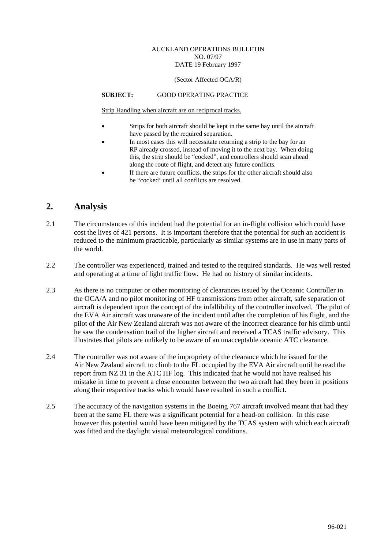### AUCKLAND OPERATIONS BULLETIN NO. 07/97 DATE 19 February 1997

#### (Sector Affected OCA/R)

### **SUBJECT:** GOOD OPERATING PRACTICE

Strip Handling when aircraft are on reciprocal tracks.

- Strips for both aircraft should be kept in the same bay until the aircraft have passed by the required separation.
- In most cases this will necessitate returning a strip to the bay for an RP already crossed, instead of moving it to the next bay. When doing this, the strip should be "cocked", and controllers should scan ahead along the route of flight, and detect any future conflicts.
- If there are future conflicts, the strips for the other aircraft should also be "cocked' until all conflicts are resolved.

## **2. Analysis**

- 2.1 The circumstances of this incident had the potential for an in-flight collision which could have cost the lives of 421 persons. It is important therefore that the potential for such an accident is reduced to the minimum practicable, particularly as similar systems are in use in many parts of the world.
- 2.2 The controller was experienced, trained and tested to the required standards. He was well rested and operating at a time of light traffic flow. He had no history of similar incidents.
- 2.3 As there is no computer or other monitoring of clearances issued by the Oceanic Controller in the OCA/A and no pilot monitoring of HF transmissions from other aircraft, safe separation of aircraft is dependent upon the concept of the infallibility of the controller involved. The pilot of the EVA Air aircraft was unaware of the incident until after the completion of his flight, and the pilot of the Air New Zealand aircraft was not aware of the incorrect clearance for his climb until he saw the condensation trail of the higher aircraft and received a TCAS traffic advisory. This illustrates that pilots are unlikely to be aware of an unacceptable oceanic ATC clearance.
- 2.4 The controller was not aware of the impropriety of the clearance which he issued for the Air New Zealand aircraft to climb to the FL occupied by the EVA Air aircraft until he read the report from NZ 31 in the ATC HF log. This indicated that he would not have realised his mistake in time to prevent a close encounter between the two aircraft had they been in positions along their respective tracks which would have resulted in such a conflict.
- 2.5 The accuracy of the navigation systems in the Boeing 767 aircraft involved meant that had they been at the same FL there was a significant potential for a head-on collision. In this case however this potential would have been mitigated by the TCAS system with which each aircraft was fitted and the daylight visual meteorological conditions.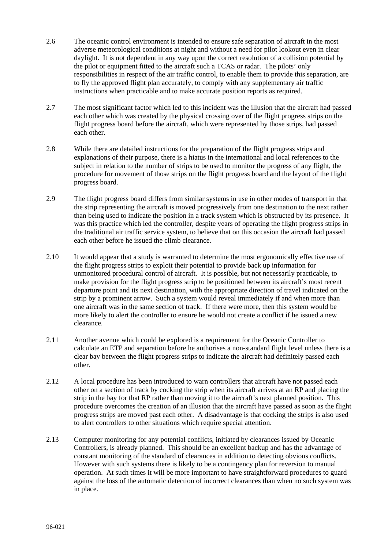- 2.6 The oceanic control environment is intended to ensure safe separation of aircraft in the most adverse meteorological conditions at night and without a need for pilot lookout even in clear daylight. It is not dependent in any way upon the correct resolution of a collision potential by the pilot or equipment fitted to the aircraft such a TCAS or radar. The pilots' only responsibilities in respect of the air traffic control, to enable them to provide this separation, are to fly the approved flight plan accurately, to comply with any supplementary air traffic instructions when practicable and to make accurate position reports as required.
- 2.7 The most significant factor which led to this incident was the illusion that the aircraft had passed each other which was created by the physical crossing over of the flight progress strips on the flight progress board before the aircraft, which were represented by those strips, had passed each other.
- 2.8 While there are detailed instructions for the preparation of the flight progress strips and explanations of their purpose, there is a hiatus in the international and local references to the subject in relation to the number of strips to be used to monitor the progress of any flight, the procedure for movement of those strips on the flight progress board and the layout of the flight progress board.
- 2.9 The flight progress board differs from similar systems in use in other modes of transport in that the strip representing the aircraft is moved progressively from one destination to the next rather than being used to indicate the position in a track system which is obstructed by its presence. It was this practice which led the controller, despite years of operating the flight progress strips in the traditional air traffic service system, to believe that on this occasion the aircraft had passed each other before he issued the climb clearance.
- 2.10 It would appear that a study is warranted to determine the most ergonomically effective use of the flight progress strips to exploit their potential to provide back up information for unmonitored procedural control of aircraft. It is possible, but not necessarily practicable, to make provision for the flight progress strip to be positioned between its aircraft's most recent departure point and its next destination, with the appropriate direction of travel indicated on the strip by a prominent arrow. Such a system would reveal immediately if and when more than one aircraft was in the same section of track. If there were more, then this system would be more likely to alert the controller to ensure he would not create a conflict if he issued a new clearance.
- 2.11 Another avenue which could be explored is a requirement for the Oceanic Controller to calculate an ETP and separation before he authorises a non-standard flight level unless there is a clear bay between the flight progress strips to indicate the aircraft had definitely passed each other.
- 2.12 A local procedure has been introduced to warn controllers that aircraft have not passed each other on a section of track by cocking the strip when its aircraft arrives at an RP and placing the strip in the bay for that RP rather than moving it to the aircraft's next planned position. This procedure overcomes the creation of an illusion that the aircraft have passed as soon as the flight progress strips are moved past each other. A disadvantage is that cocking the strips is also used to alert controllers to other situations which require special attention.
- 2.13 Computer monitoring for any potential conflicts, initiated by clearances issued by Oceanic Controllers, is already planned. This should be an excellent backup and has the advantage of constant monitoring of the standard of clearances in addition to detecting obvious conflicts. However with such systems there is likely to be a contingency plan for reversion to manual operation. At such times it will be more important to have straightforward procedures to guard against the loss of the automatic detection of incorrect clearances than when no such system was in place.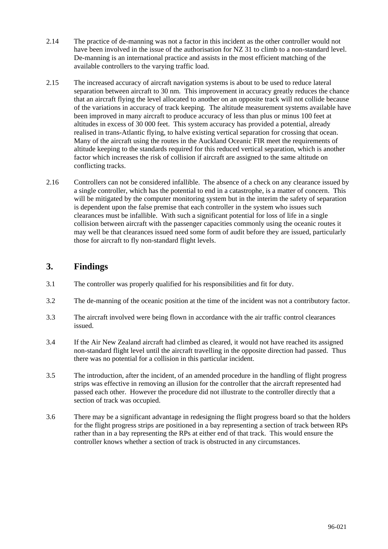- 2.14 The practice of de-manning was not a factor in this incident as the other controller would not have been involved in the issue of the authorisation for NZ 31 to climb to a non-standard level. De-manning is an international practice and assists in the most efficient matching of the available controllers to the varying traffic load.
- 2.15 The increased accuracy of aircraft navigation systems is about to be used to reduce lateral separation between aircraft to 30 nm. This improvement in accuracy greatly reduces the chance that an aircraft flying the level allocated to another on an opposite track will not collide because of the variations in accuracy of track keeping. The altitude measurement systems available have been improved in many aircraft to produce accuracy of less than plus or minus 100 feet at altitudes in excess of 30 000 feet. This system accuracy has provided a potential, already realised in trans-Atlantic flying, to halve existing vertical separation for crossing that ocean. Many of the aircraft using the routes in the Auckland Oceanic FIR meet the requirements of altitude keeping to the standards required for this reduced vertical separation, which is another factor which increases the risk of collision if aircraft are assigned to the same altitude on conflicting tracks.
- 2.16 Controllers can not be considered infallible. The absence of a check on any clearance issued by a single controller, which has the potential to end in a catastrophe, is a matter of concern. This will be mitigated by the computer monitoring system but in the interim the safety of separation is dependent upon the false premise that each controller in the system who issues such clearances must be infallible. With such a significant potential for loss of life in a single collision between aircraft with the passenger capacities commonly using the oceanic routes it may well be that clearances issued need some form of audit before they are issued, particularly those for aircraft to fly non-standard flight levels.

## **3. Findings**

- 3.1 The controller was properly qualified for his responsibilities and fit for duty.
- 3.2 The de-manning of the oceanic position at the time of the incident was not a contributory factor.
- 3.3 The aircraft involved were being flown in accordance with the air traffic control clearances issued.
- 3.4 If the Air New Zealand aircraft had climbed as cleared, it would not have reached its assigned non-standard flight level until the aircraft travelling in the opposite direction had passed. Thus there was no potential for a collision in this particular incident.
- 3.5 The introduction, after the incident, of an amended procedure in the handling of flight progress strips was effective in removing an illusion for the controller that the aircraft represented had passed each other. However the procedure did not illustrate to the controller directly that a section of track was occupied.
- 3.6 There may be a significant advantage in redesigning the flight progress board so that the holders for the flight progress strips are positioned in a bay representing a section of track between RPs rather than in a bay representing the RPs at either end of that track. This would ensure the controller knows whether a section of track is obstructed in any circumstances.